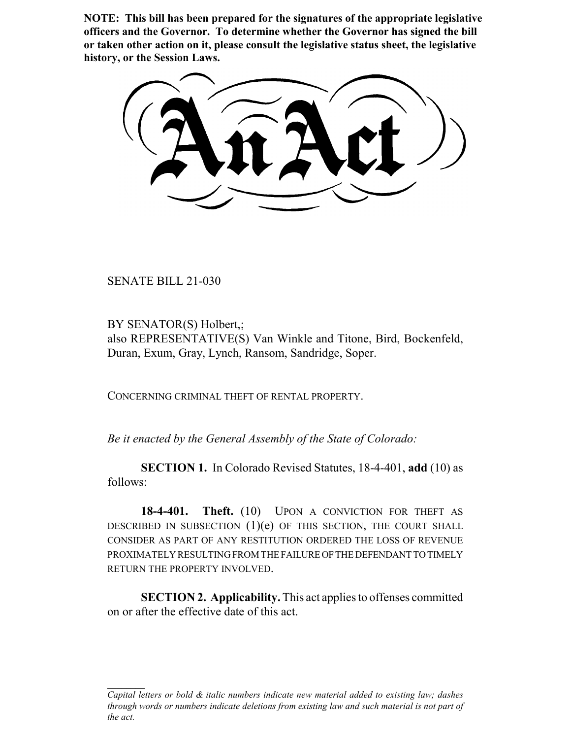**NOTE: This bill has been prepared for the signatures of the appropriate legislative officers and the Governor. To determine whether the Governor has signed the bill or taken other action on it, please consult the legislative status sheet, the legislative history, or the Session Laws.**

SENATE BILL 21-030

BY SENATOR(S) Holbert,; also REPRESENTATIVE(S) Van Winkle and Titone, Bird, Bockenfeld, Duran, Exum, Gray, Lynch, Ransom, Sandridge, Soper.

CONCERNING CRIMINAL THEFT OF RENTAL PROPERTY.

*Be it enacted by the General Assembly of the State of Colorado:*

**SECTION 1.** In Colorado Revised Statutes, 18-4-401, **add** (10) as follows:

18-4-401. Theft. (10) UPON A CONVICTION FOR THEFT AS DESCRIBED IN SUBSECTION  $(1)(e)$  of this section, the court shall CONSIDER AS PART OF ANY RESTITUTION ORDERED THE LOSS OF REVENUE PROXIMATELY RESULTING FROM THE FAILURE OF THE DEFENDANT TO TIMELY RETURN THE PROPERTY INVOLVED.

**SECTION 2. Applicability.** This act applies to offenses committed on or after the effective date of this act.

*Capital letters or bold & italic numbers indicate new material added to existing law; dashes through words or numbers indicate deletions from existing law and such material is not part of the act.*